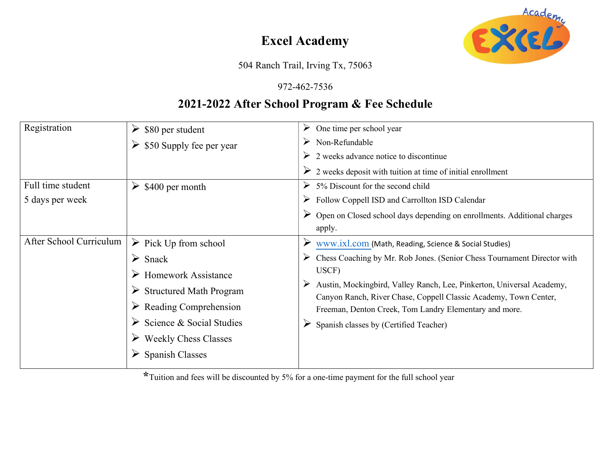# Excel Academy



504 Ranch Trail, Irving Tx, 75063

#### 972-462-7536

### 2021-2022 After School Program & Fee Schedule

| Registration            | $\triangleright$ \$80 per student         | One time per school year<br>➤                                                                                                                  |  |  |
|-------------------------|-------------------------------------------|------------------------------------------------------------------------------------------------------------------------------------------------|--|--|
|                         | $\triangleright$ \$50 Supply fee per year | Non-Refundable<br>➤                                                                                                                            |  |  |
|                         |                                           | $\triangleright$ 2 weeks advance notice to discontinue                                                                                         |  |  |
|                         |                                           | $\triangleright$ 2 weeks deposit with tuition at time of initial enrollment                                                                    |  |  |
| Full time student       | \$400 per month<br>➤                      | 5% Discount for the second child<br>➤                                                                                                          |  |  |
| 5 days per week         |                                           | $\triangleright$ Follow Coppell ISD and Carrollton ISD Calendar                                                                                |  |  |
|                         |                                           | $\triangleright$ Open on Closed school days depending on enrollments. Additional charges                                                       |  |  |
|                         |                                           | apply.                                                                                                                                         |  |  |
| After School Curriculum | $\triangleright$ Pick Up from school      | www.ixl.com (Math, Reading, Science & Social Studies)                                                                                          |  |  |
|                         | $\triangleright$ Snack                    | Chess Coaching by Mr. Rob Jones. (Senior Chess Tournament Director with<br>➤                                                                   |  |  |
|                         | <b>Homework Assistance</b>                | USCF)                                                                                                                                          |  |  |
|                         | <b>Structured Math Program</b><br>➤       | Austin, Mockingbird, Valley Ranch, Lee, Pinkerton, Universal Academy,<br>➤<br>Canyon Ranch, River Chase, Coppell Classic Academy, Town Center, |  |  |
|                         |                                           |                                                                                                                                                |  |  |
|                         | Science & Social Studies                  | Spanish classes by (Certified Teacher)<br>➤                                                                                                    |  |  |
|                         | <b>Weekly Chess Classes</b>               |                                                                                                                                                |  |  |
|                         | <b>Spanish Classes</b>                    |                                                                                                                                                |  |  |
|                         |                                           |                                                                                                                                                |  |  |

\*Tuition and fees will be discounted by 5% for a one-time payment for the full school year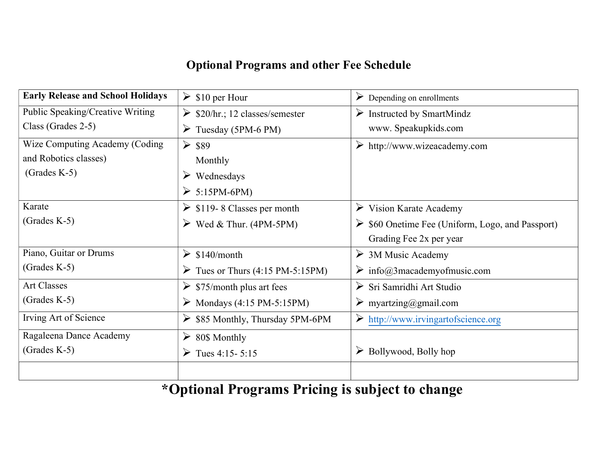# Optional Programs and other Fee Schedule

| <b>Early Release and School Holidays</b> | $\triangleright$ \$10 per Hour                    | $\triangleright$ Depending on enrollments                       |  |
|------------------------------------------|---------------------------------------------------|-----------------------------------------------------------------|--|
| Public Speaking/Creative Writing         | $\triangleright$ \$20/hr.; 12 classes/semester    | $\triangleright$ Instructed by SmartMindz                       |  |
| Class (Grades 2-5)                       | $\triangleright$ Tuesday (5PM-6 PM)               | www. Speakupkids.com                                            |  |
| Wize Computing Academy (Coding           | $\ge$ \$89                                        | $\triangleright$ http://www.wizeacademy.com                     |  |
| and Robotics classes)                    | Monthly                                           |                                                                 |  |
| $(Grades K-5)$                           | $\triangleright$ Wednesdays                       |                                                                 |  |
|                                          | $\geq 5:15PM-6PM$                                 |                                                                 |  |
| Karate                                   | $\triangleright$ \$119 - 8 Classes per month      | $\triangleright$ Vision Karate Academy                          |  |
| $(Grades K-5)$                           | $\triangleright$ Wed & Thur. (4PM-5PM)            | $\triangleright$ \$60 Onetime Fee (Uniform, Logo, and Passport) |  |
|                                          |                                                   | Grading Fee 2x per year                                         |  |
| Piano, Guitar or Drums                   | $\triangleright$ \$140/month                      | $\triangleright$ 3M Music Academy                               |  |
| $(Grades K-5)$                           | Tues or Thurs $(4:15 \text{ PM}-5:15 \text{ PM})$ | $\triangleright$ info@3macademyofmusic.com                      |  |
| <b>Art Classes</b>                       | $\triangleright$ \$75/month plus art fees         | Sri Samridhi Art Studio                                         |  |
| $(Grades K-5)$                           | $\triangleright$ Mondays (4:15 PM-5:15PM)         | $\triangleright$ myartzing@gmail.com                            |  |
| Irving Art of Science                    | $\triangleright$ \$85 Monthly, Thursday 5PM-6PM   | $\triangleright$ http://www.irvingartofscience.org              |  |
| Ragaleena Dance Academy                  | ➤<br>80\$ Monthly                                 |                                                                 |  |
| (Grades $K-5$ )                          | Tues 4:15 - 5:15                                  | $\triangleright$ Bollywood, Bolly hop                           |  |
|                                          |                                                   |                                                                 |  |

\*Optional Programs Pricing is subject to change